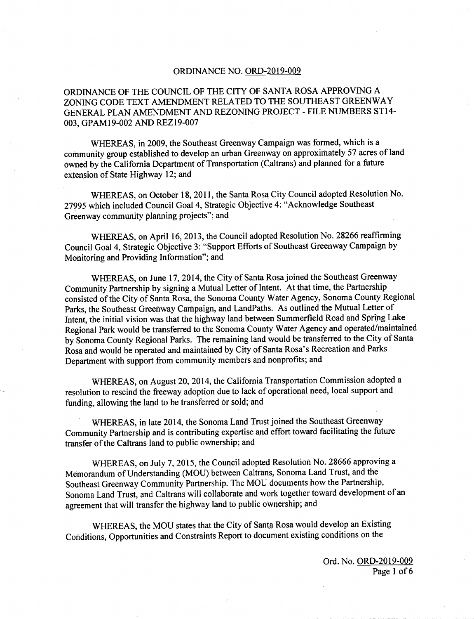## **ORDINANCE NO. ORD-2019-009**

## ORDINANCE OF THE COUNCIL OF THE CITY OF SANTA ROSA APPROVING A ZONING CODE TEXT AMENDMENT RELATED TO THE SOUTHEAST GREENWAY GENERAL PLAN AMENDMENT AND REZONING PROJECT - FILE NUMBERS ST14- 003, GPAM19-002 AND REZ19-007

WHEREAS, in 2009, the Southeast Greenway Campaign was formed, which is a community group established to develop an urban Greenway on approximately 57 acres of land owned by the California Department of Transportation (Caltrans) and planned for a future extension of State Highway 12; and

WHEREAS, on October 18, 2011, the Santa Rosa City Council adopted Resolution No. 27995 which included Council Goal 4, Strategic Objective 4: " Acknowledge Southeast Greenway community planning projects"; and

WHEREAS, on April 16, 2013, the Council adopted Resolution No. 28266 reaffirming Council Goal 4, Strategic Objective 3: " Support Efforts of Southeast Greenway,Campaign by Monitoring and Providing Information"; and

WHEREAS, on June 17, 2014, the City of Santa Rosa joined the Southeast Greenway Community Partnership by signing <sup>a</sup> Mutual Letter of Intent. At that time, the Partnership consisted of the City of Santa Rosa, the Sonoma County Water Agency, Sonoma County Regional Parks, the Southeast Greenway Campaign, and LandPaths. As outlined the Mutual Letter of Intent, the initial vision was that the highway land between Summerfield Road and Spring Lake Regional Park would be transferred to the Sonoma County Water Agency and operated/maintained by Sonoma County Regional Parks. The remaining land would be transferred to the City of Santa Rosa and would be operated and maintained by City of Santa Rosa's Recreation and Parks Department with support from community members and nonprofits; and

WHEREAS, on August 20, 2014, the California Transportation Commission adopted a resolution to rescind the freeway adoption due to lack of operational need, local support and funding, allowing the land to be transferred or sold; and

WHEREAS, in late 2014, the Sonoma Land Trust joined the Southeast Greenway Community Partnership and is contributing expertise and effort toward facilitating the future transfer of the Caltrans land to public ownership; and

WHEREAS, on July 7, 2015, the Council adopted Resolution No. 28666 approving a Memorandum of Understanding ( MOU) between Caltrans, Sonoma Land Trust, and the Southeast Greenway Community Partnership. The MOU documents how the Partnership, Sonoma Land Trust, and Caltrans will collaborate and work together toward development of an agreement that will transfer the highway land to public ownership; and

WHEREAS, the MOU states that the City of Santa Rosa would develop an Existing Conditions, Opportunities and Constraints Report to document existing conditions on the

> Ord. No. ORD-2019-009 Page <sup>1</sup> of <sup>6</sup>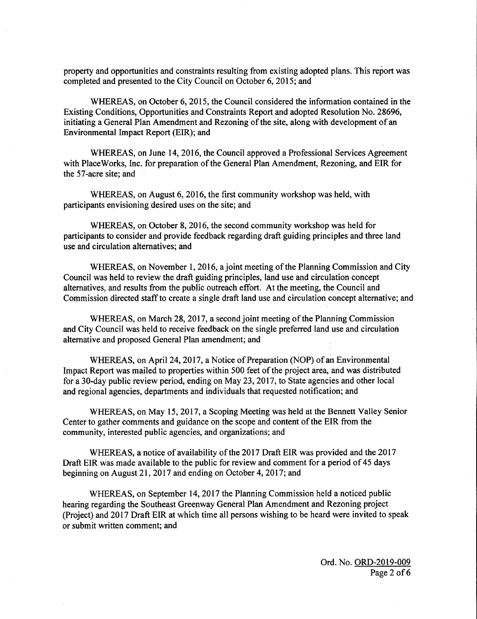property and opportunities and constraints resulting from existing adopted plans. This report was completed and presented to the City Council on October 6, 2015; and

WHEREAS, on October 6, 2015, the Council considered the information contained in the Existing Conditions, Opportunities and Constraints Report and adopted Resolution No. 28696, initiating a General Plan Amendment and Rezoning of the site, along with development of an Environmental Impact Report (EIR); and

WHEREAS, on June 14, 2016, the Council approved a Professional Services Agreement with PlaceWorks, Inc. for preparation of the General Plan Amendment, Rezoning, and EIR for the 57-acre site; and

WHEREAS, on August  $6, 2016$ , the first community workshop was held, with participants envisioning desired uses on the site; and

WHEREAS, on October 8, 2016, the second community workshop was held for participants to consider and provide feedback regarding draft guiding principles and three land use and circulation alternatives; and

WHEREAS, on November 1, 2016, a joint meeting of the Planning Commission and City Council was held to review the draft guiding principles, land use and circulation concept alternatives, and results from the public outreach effort. At the meeting, the Council and Commission directed staff to create a single draft land use and circulation concept alternative; and

WHEREAS, on March 28, 2017, a second joint meeting of the Planning Commission and City Council was held to receive feedback on the single preferred land use and circulation alternative and proposed General Plan amendment; and

WHEREAS, on April 24, 2017, a Notice of Preparation ( NOP) of an Environmental Impact Report was mailed to properties within 500 feet of the project area, and was distributed for a 30- day public review period, ending on May 23, 2017, to State agencies and other local and regional agencies, departments and individuals that requested notification; and

WHEREAS, on May 15, 2017, a Scoping Meeting was held at the Bennett Valley Senior Center to gather comments and guidance on the scope and content of the EIR from the community, interested public agencies, and organizations; and

WHEREAS, a notice of availability of the 2017 Draft EIR was provided and the 2017 Draft EIR was made available to the public for review and comment for a period of 45 days beginning on August 21, 2017 and ending on October 4, 2017; and

WHEREAS, on September 14, 2017 the Planning Commission held a noticed public hearing regarding the Southeast Greenway General Plan Amendment and Rezoning project Project) and 2017 Draft EIR at which time all persons wishing to be heard were invited to speak or submit written comment; and

> Ord. No. ORD-2019-009 Page <sup>2</sup> of <sup>6</sup>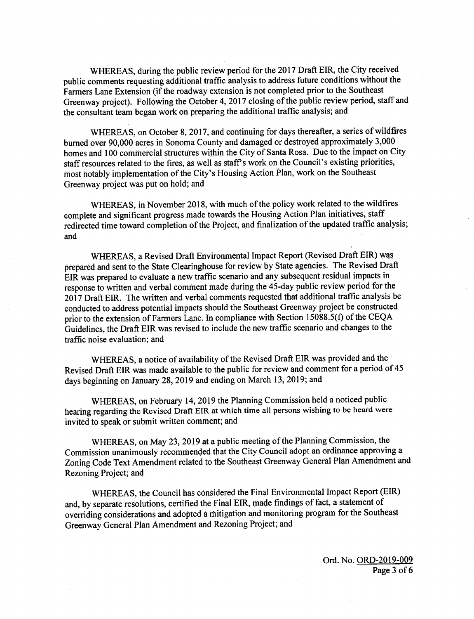WHEREAS, during the public review period for the 2017 Draft EIR, the City received public comments requesting additional traffic analysis to address future conditions without the Farmers Lane Extension (if the roadway extension is not completed prior to the Southeast Greenway project). Following the October 4, 2017 closing of the public review period, staff and the consultant team began work on preparing the additional traffic analysis; and

WHEREAS, on October 8, 2017, and continuing for days thereafter, a series of wildfires burned over 90,000 acres in Sonoma County and damaged or destroyed approximately 3,000 homes and <sup>100</sup> commercial structures within the City of Santa Rosa. Due to the impact on City staff resources related to the fires, as well as staff's work on the Council's existing priorities, most notably implementation of the City' <sup>s</sup> Housing Action Plan, work on the Southeast Greenway project was put on hold; and

WHEREAS, in November 2018, with much of the policy work related to the wildfires complete and significant progress made towards the Housing Action Plan initiatives, staff redirected time toward completion of the Project, and finalization of the updated traffic analysis; and

WHEREAS, a Revised Draft Environmental Impact Report (Revised Draft EIR) was prepared and sent to the State Clearinghouse for review by State agencies. The Revised Draft EIR was prepared to evaluate a new traffic scenario and any subsequent residual impacts in response to written and verbal comment made during the 45- day public review period for the 2017 Draft EIR. The written and verbal comments requested that additional traffic analysis be conducted to address potential impacts should the Southeast Greenway project be constructed prior to the extension of Farmers Lane. In compliance with Section 15088.5(f) of the CEQA Guidelines, the Draft EIR was revised to include the new traffic scenario and changes to the traffic noise evaluation; and

WHEREAS, a notice of availability of the Revised Draft EIR was provided and the Revised Draft EIR was made available to the public for review and comment for a period of 45 days beginning on January 28, 2019 and ending on March 13, 2019; and

WHEREAS, on February 14, 2019 the Planning Commission held a noticed public hearing regarding the Revised Draft EIR at which time all persons wishing to be heard were invited to speak or submit written comment; and

WHEREAS, on May 23, 2019 at <sup>a</sup> public meeting of the Planning Commission, the Commission unanimously recommended that the City Council adopt an ordinance approving a Zoning Code Text Amendment related to the Southeast Greenway General Plan Amendment and Rezoning Project; and

WHEREAS, the Council has considered the Final Environmental Impact Report (EIR) and, by separate resolutions, certified the Final EIR, made findings of fact, a statement of overriding considerations and adopted a mitigation and monitoring program for the Southeast Greenway General Plan Amendment and Rezoning Project; and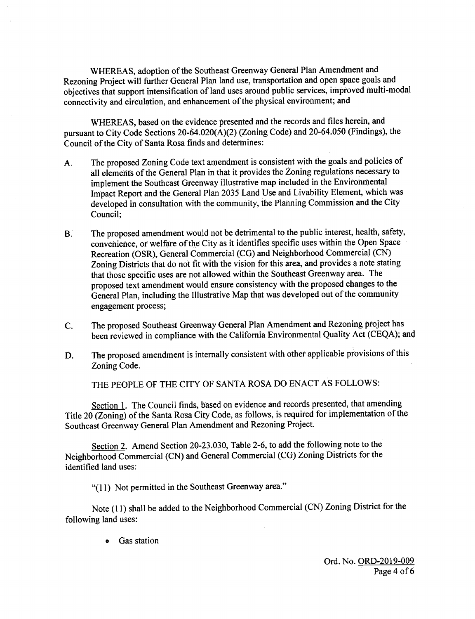WHEREAS, adoption of the Southeast Greenway General Plan Amendment and Rezoning Project will further General Plan land use, transportation and open space goals and objectives that support intensification of land uses around public services, improved multi -modal connectivity and circulation, and enhancement of the physical environment; and

WHEREAS, based on the evidence presented and the records and files herein, and pursuant to City Code Sections 20-64.020(A)(2) (Zoning Code) and 20-64.050 (Findings), the Council of the City of Santa Rosa finds and determines:

- A. The proposed Zoning Code text amendment is consistent with the goals and policies of all elements ofthe General Plan in that it provides the Zoning regulations necessary to implement the Southeast Greenway illustrative map included in the Environmental Impact Report and the General Plan 2035 Land Use and Livability Element, which was developed in consultation with the community, the Planning Commission and the City Council;
- B. The proposed amendment would not be detrimental to the public interest, health, safety, convenience, or welfare of the City as it identifies specific uses within the Open Space Recreation (OSR), General Commercial (CG) and Neighborhood Commercial (CN) Zoning Districts that do not fit with the vision for this area, and provides <sup>a</sup> note stating that those specific uses are not allowed within the Southeast Greenway area. The proposed text amendment would ensure consistency with the proposed changes to the General Plan, including the Illustrative Map that was developed out of the community engagement process;
- C. The proposed Southeast Greenway General Plan Amendment and Rezoning project has been reviewed in compliance with the California Environmental Quality Act (CEQA); and
- D. The proposed amendment is internally consistent with other applicable provisions of this Zoning Code.

THE PEOPLE OF THE CITY OF SANTA ROSA DO ENACT AS FOLLOWS:

Section 1. The Council finds, based on evidence and records presented, that amending Title 20 (Zoning) of the Santa Rosa City Code, as follows, is required for implementation of the Southeast Greenway General Plan Amendment and Rezoning Project.

Section 2. Amend Section 20-23.030, Table 2-6, to add the following note to the Neighborhood Commercial (CN) and General Commercial (CG) Zoning Districts for the identified land uses:

"(11) Not permitted in the Southeast Greenway area."

Note (11) shall be added to the Neighborhood Commercial (CN) Zoning District for the following land uses:

Gas station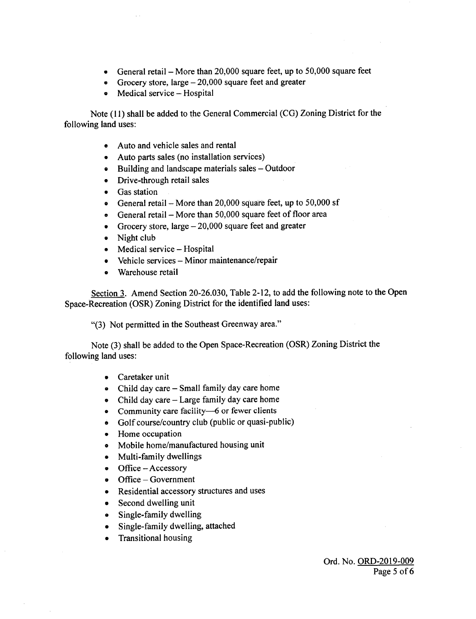- General retail More than 20, 000 square feet, up to 50, 000 square feet  $\bullet$
- Grocery store, large  $-20,000$  square feet and greater
- Medical service Hospital

Note (11) shall be added to the General Commercial (CG) Zoning District for the following land uses:

- Auto and vehicle sales and rental
- Auto parts sales ( no installation services)
- Building and landscape materials sales Outdoor
- Drive-through retail sales
- Gas station
- General retail More than  $20,000$  square feet, up to 50,000 sf
- General retail More than  $50,000$  square feet of floor area
- Grocery store, large  $-20,000$  square feet and greater
- Night club
- Medical service Hospital
- Vehicle services Minor maintenance/ repair
- Warehouse retail

Section 3. Amend Section 20-26.030, Table 2-12, to add the following note to the Open Space-Recreation (OSR) Zoning District for the identified land uses:

3) Not permitted in the Southeast Greenway area."

Note (3) shall be added to the Open Space-Recreation (OSR) Zoning District the following land uses:

- Caretaker unit
- Child day care Small family day care home
- $\bullet$  Child day care Large family day care home
- Community care facility-6 or fewer clients
- Golf course/ country club ( public or quasi-public)
- Home occupation
- Mobile home/manufactured housing unit
- Multi-family dwellings
- Office Accessory
- Office Government
- Residential accessory structures and uses  $\bullet$
- Second dwelling unit
- Single-family dwelling  $\bullet$
- Single- family dwelling, attached
- Transitional housing  $\bullet$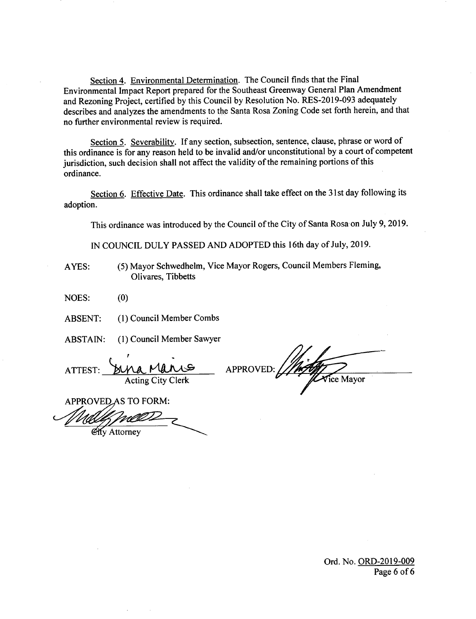Section 4. Environmental Determination. The Council finds that the Final Environmental Impact Report prepared for the Southeast Greenway General Plan Amendment and Rezoning Project, certified by this Council by Resolution No. RES-2019-093 adequately describes and analyzes the amendments to the Santa Rosa Zoning Code set forth herein, and that no further environmental review is required.

Section 5. Severability. If any section, subsection, sentence, clause, phrase or word of this ordinance is for any reason held to be invalid and/or unconstitutional by <sup>a</sup> court of competent jurisdiction, such decision shall not affect the validity of the remaining portions of this ordinance.

Section 6. Effective Date. This ordinance shall take effect on the 31st day following its adoption.

This ordinance was introduced by the Council of the City of Santa Rosa on July 9, 2019.

IN COUNCIL DULY PASSED AND ADOPTED this 16th day of July, 2019.

AYES: ( 5) Mayor Schwedhelm, Vice Mayor Rogers, Council Members Fleming, Olivares, Tibbetts

 $NOES:$  (0)

ABSENT: (1) Council Member Combs

ABSTAIN: ( 1) Council Member Sawyer

ATTEST: **BULA, MARLES APPROVED:** 

Acting City Clerk **in the Contract of Contract Contract of Contract Contract Contract Oriental** 

APPROVED AS TO FORM:

**City Attorney** 

Ord. No. ORD-2019-009 Page <sup>6</sup> of <sup>6</sup>